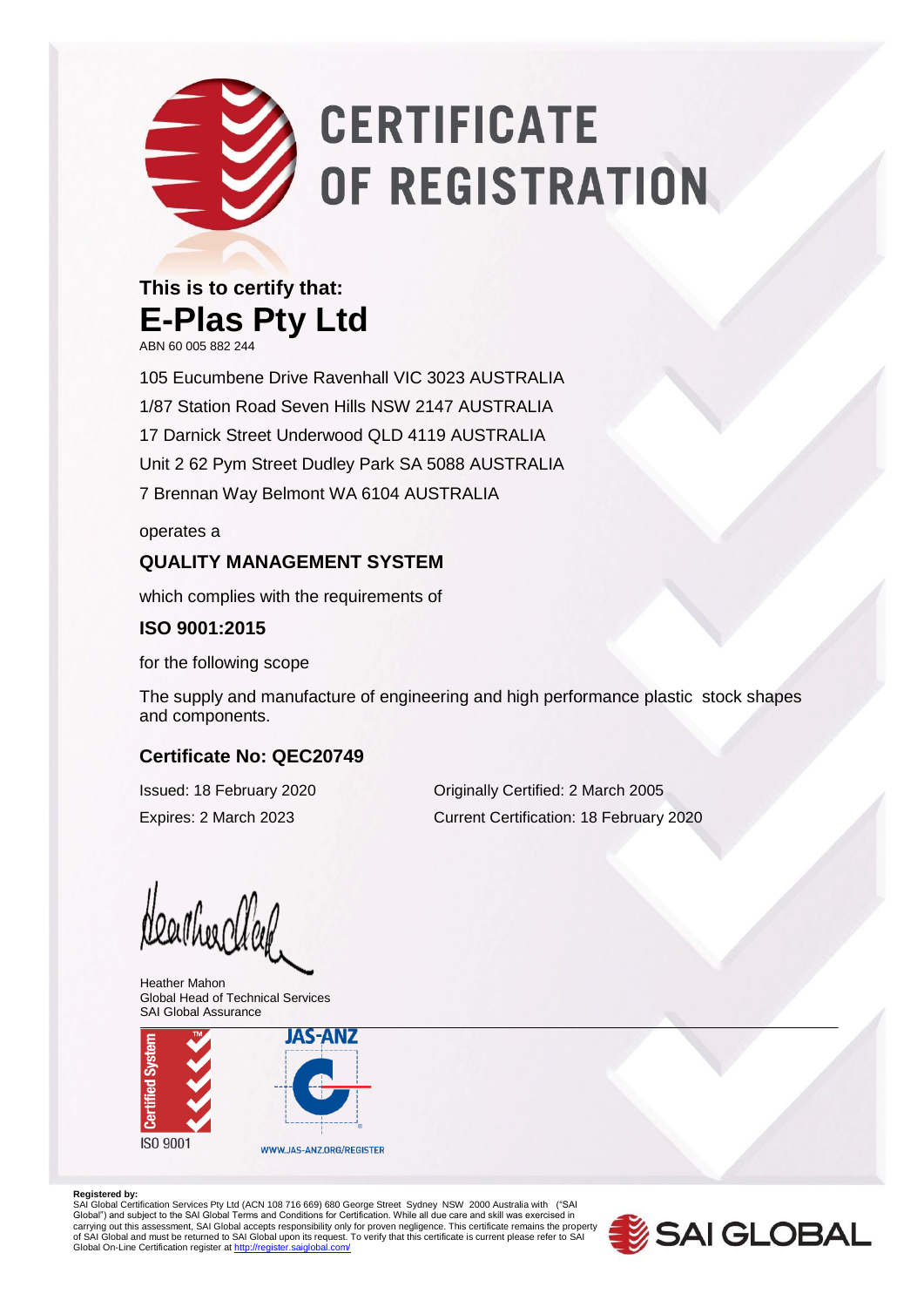# **CERTIFICATE** OF REGISTRATION

### **This is to certify that: E-Plas Pty Ltd**

ABN 60 005 882 244

105 Eucumbene Drive Ravenhall VIC 3023 AUSTRALIA 1/87 Station Road Seven Hills NSW 2147 AUSTRALIA 17 Darnick Street Underwood QLD 4119 AUSTRALIA Unit 2 62 Pym Street Dudley Park SA 5088 AUSTRALIA 7 Brennan Way Belmont WA 6104 AUSTRALIA

operates a

#### **QUALITY MANAGEMENT SYSTEM**

which complies with the requirements of

#### **ISO 9001:2015**

for the following scope

The supply and manufacture of engineering and high performance plastic stock shapes and components.

#### **Certificate No: QEC20749**

Issued: 18 February 2020 Originally Certified: 2 March 2005 Expires: 2 March 2023 Current Certification: 18 February 2020

Neather Clab

Heather Mahon Global Head of Technical Services SAI Global Assurance



#### **Registered by:**

SAI Global Certification Services Pty Ltd (ACN 108 716 669) 680 George Street Sydney NSW 2000 Australia with ("SAI<br>Global") and subject to the SAI Global Terms and Conditions for Certification. While all due care and skill carrying out this assessment, SAI Global accepts responsibility only for proven negligence. This certificate remains the property<br>of SAI Global and must be returned to SAI Global upon its request. To verify that this certi